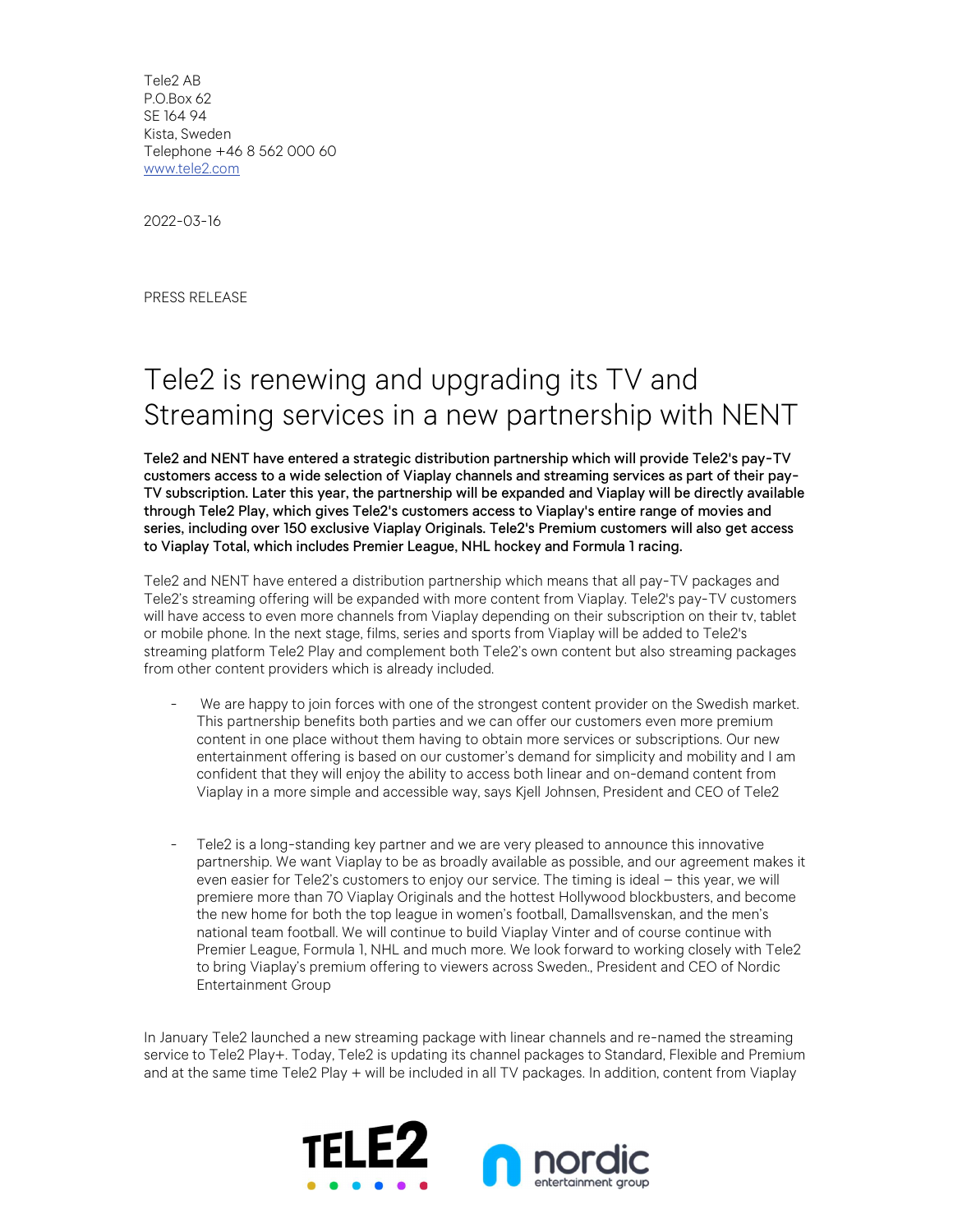Tele2 AB P.O.Box 62 SE 164 94 Kista, Sweden Telephone +46 8 562 000 60 www.tele2.com

2022-03-16

PRESS RELEASE

## Tele2 is renewing and upgrading its TV and Streaming services in a new partnership with NENT

Tele2 and NENT have entered a strategic distribution partnership which will provide Tele2's pay-TV customers access to a wide selection of Viaplay channels and streaming services as part of their pay-TV subscription. Later this year, the partnership will be expanded and Viaplay will be directly available through Tele2 Play, which gives Tele2's customers access to Viaplay's entire range of movies and series, including over 150 exclusive Viaplay Originals. Tele2's Premium customers will also get access to Viaplay Total, which includes Premier League, NHL hockey and Formula 1 racing.

Tele2 and NENT have entered a distribution partnership which means that all pay-TV packages and Tele2's streaming offering will be expanded with more content from Viaplay. Tele2's pay-TV customers will have access to even more channels from Viaplay depending on their subscription on their tv, tablet or mobile phone. In the next stage, films, series and sports from Viaplay will be added to Tele2's streaming platform Tele2 Play and complement both Tele2's own content but also streaming packages from other content providers which is already included.

- We are happy to join forces with one of the strongest content provider on the Swedish market. This partnership benefits both parties and we can offer our customers even more premium content in one place without them having to obtain more services or subscriptions. Our new entertainment offering is based on our customer's demand for simplicity and mobility and I am confident that they will enjoy the ability to access both linear and on-demand content from Viaplay in a more simple and accessible way, says Kjell Johnsen, President and CEO of Tele2
- Tele2 is a long-standing key partner and we are very pleased to announce this innovative partnership. We want Viaplay to be as broadly available as possible, and our agreement makes it even easier for Tele2's customers to enjoy our service. The timing is ideal – this year, we will premiere more than 70 Viaplay Originals and the hottest Hollywood blockbusters, and become the new home for both the top league in women's football, Damallsvenskan, and the men's national team football. We will continue to build Viaplay Vinter and of course continue with Premier League, Formula 1, NHL and much more. We look forward to working closely with Tele2 to bring Viaplay's premium offering to viewers across Sweden., President and CEO of Nordic Entertainment Group

In January Tele2 launched a new streaming package with linear channels and re-named the streaming service to Tele2 Play+. Today, Tele2 is updating its channel packages to Standard, Flexible and Premium and at the same time Tele2 Play + will be included in all TV packages. In addition, content from Viaplay

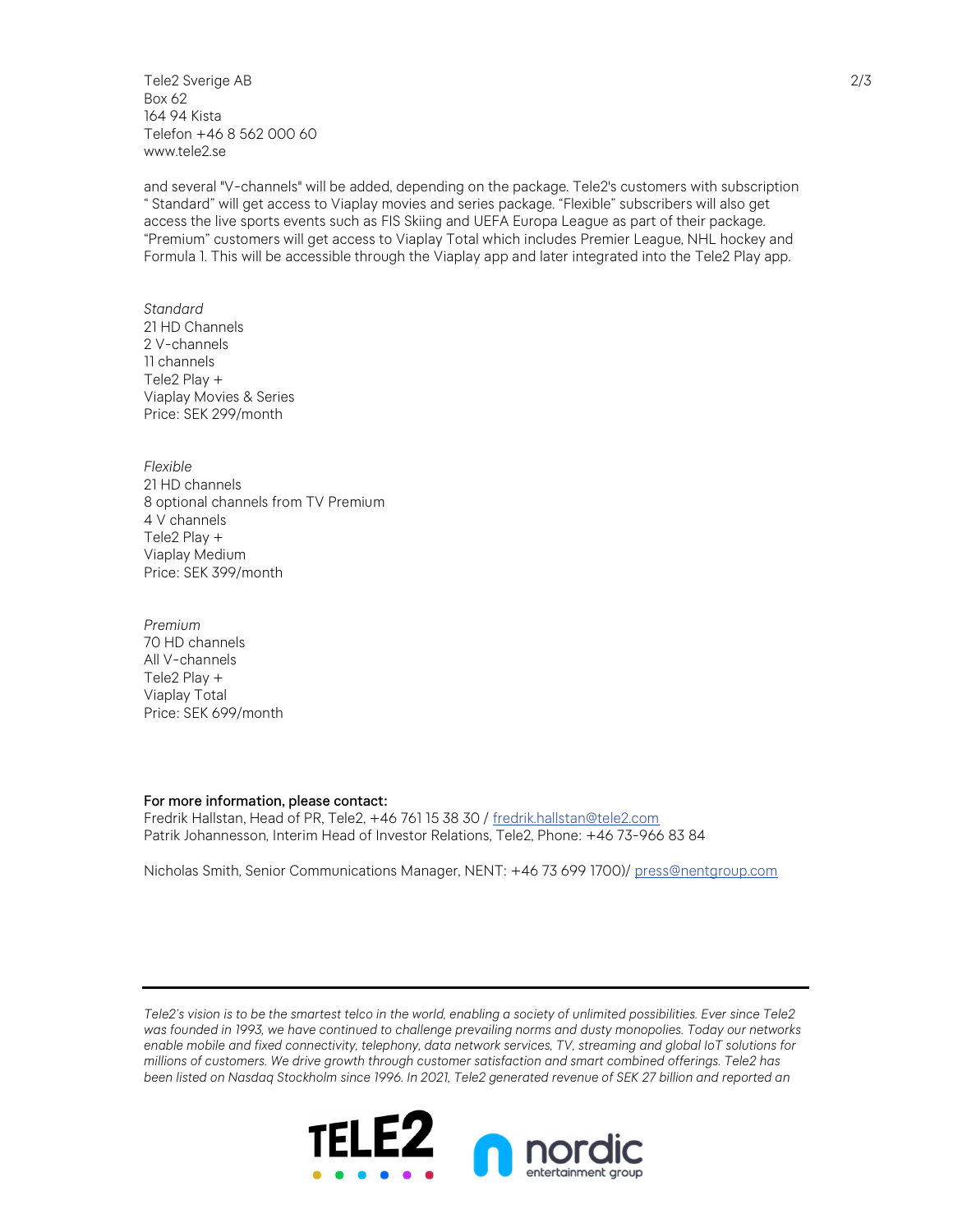Tele2 Sverige AB Box 62 164 94 Kista Telefon +46 8 562 000 60 www.tele2.se

and several "V-channels" will be added, depending on the package. Tele2's customers with subscription " Standard" will get access to Viaplay movies and series package. "Flexible" subscribers will also get access the live sports events such as FIS Skiing and UEFA Europa League as part of their package. "Premium" customers will get access to Viaplay Total which includes Premier League, NHL hockey and Formula 1. This will be accessible through the Viaplay app and later integrated into the Tele2 Play app.

Standard 21 HD Channels 2 V-channels 11 channels Tele2 Play + Viaplay Movies & Series Price: SEK 299/month

Flexible 21 HD channels 8 optional channels from TV Premium 4 V channels Tele2 Play + Viaplay Medium Price: SEK 399/month

Premium 70 HD channels All V-channels Tele2 Play + Viaplay Total Price: SEK 699/month

## For more information, please contact:

Fredrik Hallstan, Head of PR, Tele2, +46 761 15 38 30 / fredrik.hallstan@tele2.com Patrik Johannesson, Interim Head of Investor Relations, Tele2, Phone: +46 73-966 83 84

Nicholas Smith, Senior Communications Manager, NENT: +46 73 699 1700)/ press@nentgroup.com

Tele2's vision is to be the smartest telco in the world, enabling a society of unlimited possibilities. Ever since Tele2 was founded in 1993, we have continued to challenge prevailing norms and dusty monopolies. Today our networks enable mobile and fixed connectivity, telephony, data network services, TV, streaming and global IoT solutions for millions of customers. We drive growth through customer satisfaction and smart combined offerings. Tele2 has been listed on Nasdaq Stockholm since 1996. In 2021, Tele2 generated revenue of SEK 27 billion and reported an